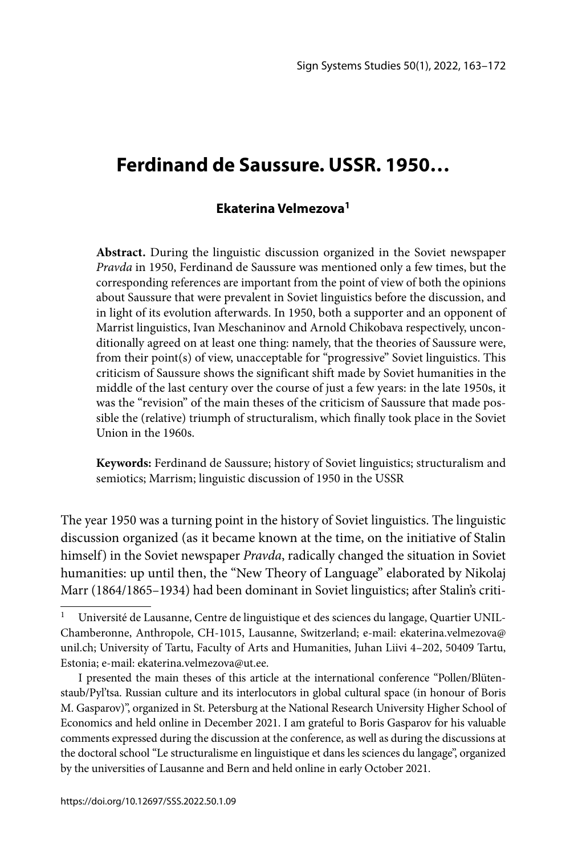# **Ferdinand de Saussure. USSR. 1950…**

# **Ekaterina Velmezova1**

**Abstract.** During the linguistic discussion organized in the Soviet newspaper *Pravda* in 1950, Ferdinand de Saussure was mentioned only a few times, but the corresponding references are important from the point of view of both the opinions about Saussure that were prevalent in Soviet linguistics before the discussion, and in light of its evolution afterwards. In 1950, both a supporter and an opponent of Marrist linguistics, Ivan Meschaninov and Arnold Chikobava respectively, unconditionally agreed on at least one thing: namely, that the theories of Saussure were, from their point(s) of view, unacceptable for "progressive" Soviet linguistics. This criticism of Saussure shows the significant shift made by Soviet humanities in the middle of the last century over the course of just a few years: in the late 1950s, it was the "revision" of the main theses of the criticism of Saussure that made possible the (relative) triumph of structuralism, which finally took place in the Soviet Union in the 1960s.

**Keywords:** Ferdinand de Saussure; history of Soviet linguistics; structuralism and semiotics; Marrism; linguistic discussion of 1950 in the USSR

The year 1950 was a turning point in the history of Soviet linguistics. The linguistic discussion organized (as it became known at the time, on the initiative of Stalin himself) in the Soviet newspaper *Pravda*, radically changed the situation in Soviet humanities: up until then, the "New Theory of Language" elaborated by Nikolaj Marr (1864/1865–1934) had been dominant in Soviet linguistics; after Stalin's criti-

Université de Lausanne, Centre de linguistique et des sciences du langage, Quartier UNIL-Chamberonne, Anthropole, CH-1015, Lausanne, Switzerland; e-mail: ekaterina.velmezova@ unil.ch; University of Tartu, Faculty of Arts and Humanities, Juhan Liivi 4–202, 50409 Tartu, Estonia; e-mail: ekaterina.velmezova@ut.ee.

I presented the main theses of this article at the international conference "Pollen/Blütenstaub/Pyl'tsa. Russian culture and its interlocutors in global cultural space (in honour of Boris M. Gasparov)", organized in St. Petersburg at the National Research University Higher School of Economics and held online in December 2021. I am grateful to Boris Gasparov for his valuable comments expressed during the discussion at the conference, as well as during the discussions at the doctoral school "Le structuralisme en linguistique et dans les sciences du langage", organized by the universities of Lausanne and Bern and held online in early October 2021.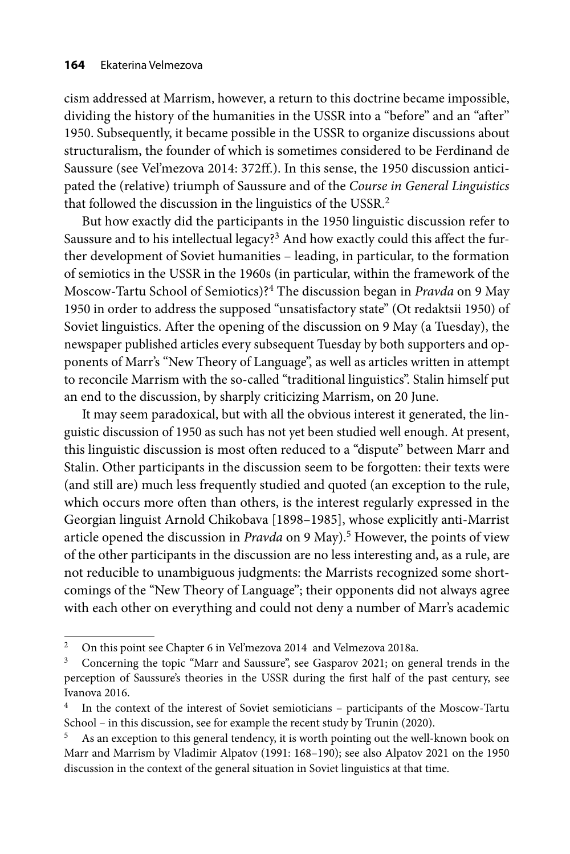cism addressed at Marrism, however, a return to this doctrine became impossible, dividing the history of the humanities in the USSR into a "before" and an "after" 1950. Subsequently, it became possible in the USSR to organize discussions about structuralism, the founder of which is sometimes considered to be Ferdinand de Saussure (see Vel'mezova 2014: 372ff.). In this sense, the 1950 discussion anticipated the (relative) triumph of Saussure and of the *Course in General Linguistics* that followed the discussion in the linguistics of the USSR.<sup>2</sup>

But how exactly did the participants in the 1950 linguistic discussion refer to Saussure and to his intellectual legacy?<sup>3</sup> And how exactly could this affect the further development of Soviet humanities – leading, in particular, to the formation of semiotics in the USSR in the 1960s (in particular, within the framework of the Moscow-Tartu School of Semiotics)?4 The discussion began in *Pravda* on 9 May 1950 in order to address the supposed "unsatisfactory state" (Ot redaktsii 1950) of Soviet linguistics. After the opening of the discussion on 9 May (a Tuesday), the newspaper published articles every subsequent Tuesday by both supporters and opponents of Marr's "New Theory of Language", as well as articles written in attempt to reconcile Marrism with the so-called "traditional linguistics". Stalin himself put an end to the discussion, by sharply criticizing Marrism, on 20 June.

It may seem paradoxical, but with all the obvious interest it generated, the linguistic discussion of 1950 as such has not yet been studied well enough. At present, this linguistic discussion is most often reduced to a "dispute" between Marr and Stalin. Other participants in the discussion seem to be forgotten: their texts were (and still are) much less frequently studied and quoted (an exception to the rule, which occurs more often than others, is the interest regularly expressed in the Georgian linguist Arnold Chikobava [1898–1985], whose explicitly anti-Marrist article opened the discussion in *Pravda* on 9 May).<sup>5</sup> However, the points of view of the other participants in the discussion are no less interesting and, as a rule, are not reducible to unambiguous judgments: the Marrists recognized some shortcomings of the "New Theory of Language"; their opponents did not always agree with each other on everything and could not deny a number of Marr's academic

<sup>&</sup>lt;sup>2</sup> On this point see Chapter 6 in Vel'mezova 2014 and Velmezova 2018a.

<sup>&</sup>lt;sup>3</sup> Concerning the topic "Marr and Saussure", see Gasparov 2021; on general trends in the perception of Saussure's theories in the USSR during the first half of the past century, see Ivanova 2016.

<sup>4</sup> In the context of the interest of Soviet semioticians – participants of the Moscow-Tartu School – in this discussion, see for example the recent study by Trunin (2020).

As an exception to this general tendency, it is worth pointing out the well-known book on Marr and Marrism by Vladimir Alpatov (1991: 168–190); see also Alpatov 2021 on the 1950 discussion in the context of the general situation in Soviet linguistics at that time.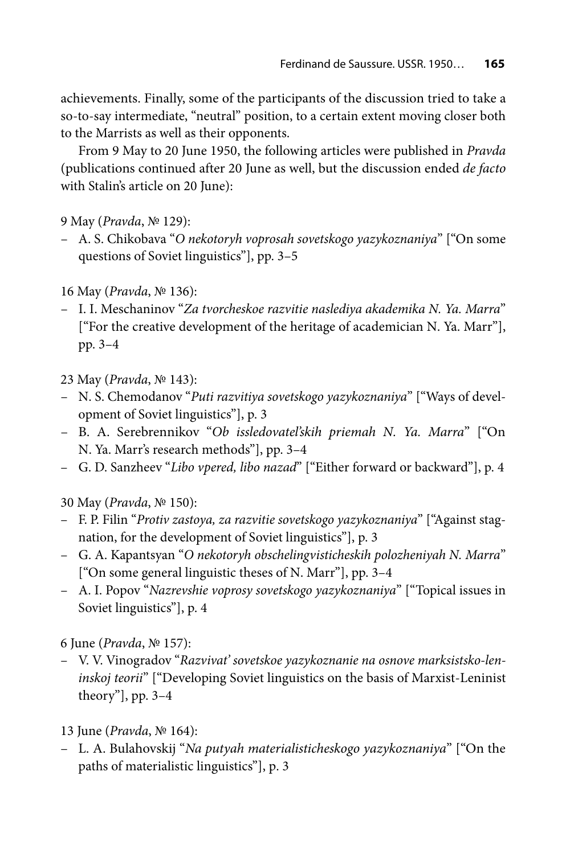achievements. Finally, some of the participants of the discussion tried to take a so-to-say intermediate, "neutral" position, to a certain extent moving closer both to the Marrists as well as their opponents.

From 9 May to 20 June 1950, the following articles were published in *Pravda* (publications continued after 20 June as well, but the discussion ended *de facto* with Stalin's article on 20 June):

9 May (*Pravda*, № 129):

– А. S. Chikobava "*О nekotoryh voprosah sovetskogo yazykoznaniya*" ["On some questions of Soviet linguistics"], pp. 3–5

16 May (*Pravda*, № 136):

– I. I. Meschaninov "*Za tvorcheskoe razvitie naslediya akademika N. Ya. Marra*" ["For the creative development of the heritage of academician N. Ya. Marr"], pp. 3–4

23 May (*Pravda*, № 143):

- N. S. Chemodanov "*Puti razvitiya sovetskogo yazykoznaniya*" ["Ways of development of Soviet linguistics"], p. 3
- B. А. Serebrennikov "*Оb issledovatel'skih priemah N. Ya. Marra*" ["On N. Ya. Marr's research methods"], pp. 3–4
- G. D. Sanzheev "*Libo vpered, libo nazad*" ["Either forward or backward"], p. 4

30 May (*Pravda*, № 150):

- F. P. Filin "*Protiv zastoya, za razvitie sovetskogo yazykoznaniya*" ["Against stagnation, for the development of Soviet linguistics"], p. 3
- G. А. Kapantsyan "*О nekotoryh obschelingvisticheskih polozheniyah N. Marra*" ["On some general linguistic theses of N. Marr"], pp. 3–4
- А. I. Popov "*Nazrevshie voprosy sovetskogo yazykoznaniya*" ["Topical issues in Soviet linguistics"], p. 4

6 June (*Pravda*, № 157):

– V. V. Vinogradov "*Razvivat' sovetskoe yazykoznanie na osnove marksistsko-leninskoj teorii*" ["Developing Soviet linguistics on the basis of Marxist-Leninist theory"], рp. 3–4

13 June (*Pravda*, № 164):

– L. А. Bulahovskij "*Na putyah materialisticheskogo yazykoznaniya*" ["On the paths of materialistic linguistics"], р. 3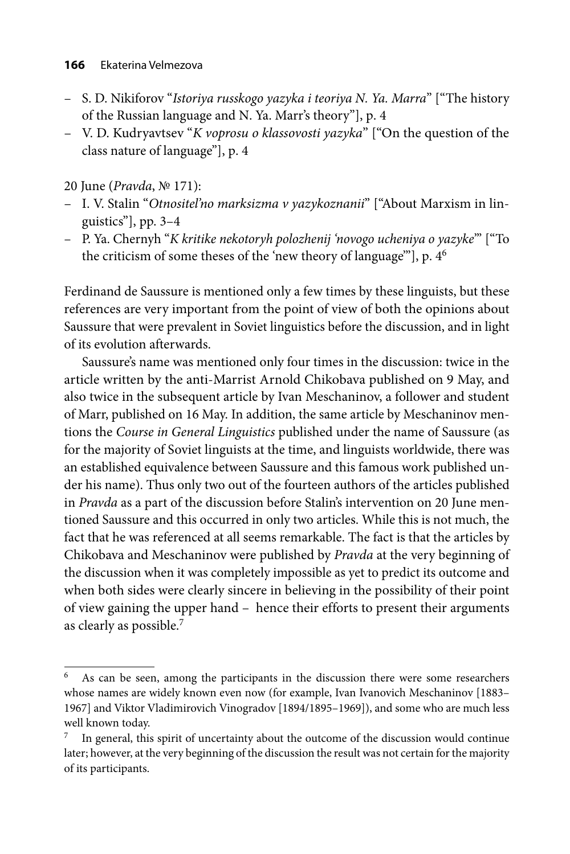- S. D. Nikiforov "*Istoriya russkogo yazyka i teoriya N. Ya. Marra*" ["The history of the Russian language and N. Ya. Marr's theory"], р. 4
- V. D. Kudryavtsev "*K voprosu o klassovosti yazyka*" ["On the question of the class nature of language"], р. 4

20 June (*Pravda*, № 171):

- I. V. Stalin "*Otnositel'no marksizma v yazykoznanii*" ["About Marxism in linguistics"], рp. 3–4
- P. Ya. Chernyh "*K kritike nekotoryh polozhenij 'novogo ucheniya o yazyke*'" ["To the criticism of some theses of the 'new theory of language'"], р. 46

Ferdinand de Saussure is mentioned only a few times by these linguists, but these references are very important from the point of view of both the opinions about Saussure that were prevalent in Soviet linguistics before the discussion, and in light of its evolution afterwards.

Saussure's name was mentioned only four times in the discussion: twice in the article written by the anti-Marrist Arnold Chikobava published on 9 May, and also twice in the subsequent article by Ivan Meschaninov, a follower and student of Marr, published on 16 May. In addition, the same article by Meschaninov mentions the *Course in General Linguistics* published under the name of Saussure (as for the majority of Soviet linguists at the time, and linguists worldwide, there was an established equivalence between Saussure and this famous work published under his name). Thus only two out of the fourteen authors of the articles published in *Pravda* as a part of the discussion before Stalin's intervention on 20 June mentioned Saussure and this occurred in only two articles. While this is not much, the fact that he was referenced at all seems remarkable. The fact is that the articles by Chikobava and Meschaninov were published by *Pravda* at the very beginning of the discussion when it was completely impossible as yet to predict its outcome and when both sides were clearly sincere in believing in the possibility of their point of view gaining the upper hand – hence their efforts to present their arguments as clearly as possible.7

<sup>&</sup>lt;sup>6</sup> As can be seen, among the participants in the discussion there were some researchers whose names are widely known even now (for example, Ivan Ivanovich Meschaninov [1883– 1967] and Viktor Vladimirovich Vinogradov [1894/1895–1969]), and some who are much less well known today.

In general, this spirit of uncertainty about the outcome of the discussion would continue later; however, at the very beginning of the discussion the result was not certain for the majority of its participants.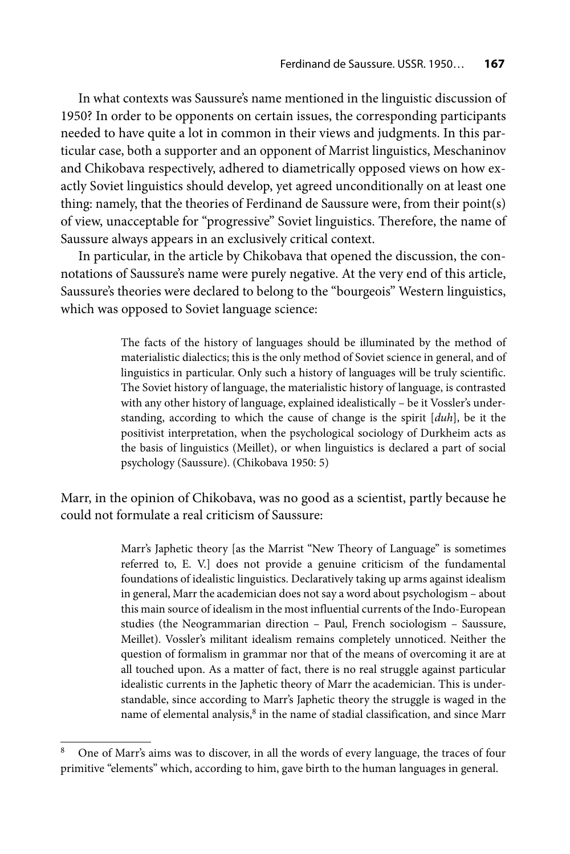In what contexts was Saussure's name mentioned in the linguistic discussion of 1950? In order to be opponents on certain issues, the corresponding participants needed to have quite a lot in common in their views and judgments. In this particular case, both a supporter and an opponent of Marrist linguistics, Meschaninov and Chikobava respectively, adhered to diametrically opposed views on how exactly Soviet linguistics should develop, yet agreed unconditionally on at least one thing: namely, that the theories of Ferdinand de Saussure were, from their point(s) of view, unacceptable for "progressive" Soviet linguistics. Therefore, the name of Saussure always appears in an exclusively critical context.

In particular, in the article by Chikobava that opened the discussion, the connotations of Saussure's name were purely negative. At the very end of this article, Saussure's theories were declared to belong to the "bourgeois" Western linguistics, which was opposed to Soviet language science:

> The facts of the history of languages should be illuminated by the method of materialistic dialectics; this is the only method of Soviet science in general, and of linguistics in particular. Only such a history of languages will be truly scientific. The Soviet history of language, the materialistic history of language, is contrasted with any other history of language, explained idealistically – be it Vossler's understanding, according to which the cause of change is the spirit [*duh*], be it the positivist interpretation, when the psychological sociology of Durkheim acts as the basis of linguistics (Meillet), or when linguistics is declared a part of social psychology (Saussure). (Chikobava 1950: 5)

Marr, in the opinion of Chikobava, was no good as a scientist, partly because he could not formulate a real criticism of Saussure:

> Marr's Japhetic theory [as the Marrist "New Theory of Language" is sometimes referred to, E. V.] does not provide a genuine criticism of the fundamental foundations of idealistic linguistics. Declaratively taking up arms against idealism in general, Marr the academician does not say a word about psychologism – about this main source of idealism in the most influential currents of the Indo-European studies (the Neogrammarian direction – Paul, French sociologism – Saussure, Meillet). Vossler's militant idealism remains completely unnoticed. Neither the question of formalism in grammar nor that of the means of overcoming it are at all touched upon. As a matter of fact, there is no real struggle against particular idealistic currents in the Japhetic theory of Marr the academician. This is understandable, since according to Marr's Japhetic theory the struggle is waged in the name of elemental analysis,<sup>8</sup> in the name of stadial classification, and since Marr

<sup>8</sup> One of Marr's aims was to discover, in all the words of every language, the traces of four primitive "elements" which, according to him, gave birth to the human languages in general.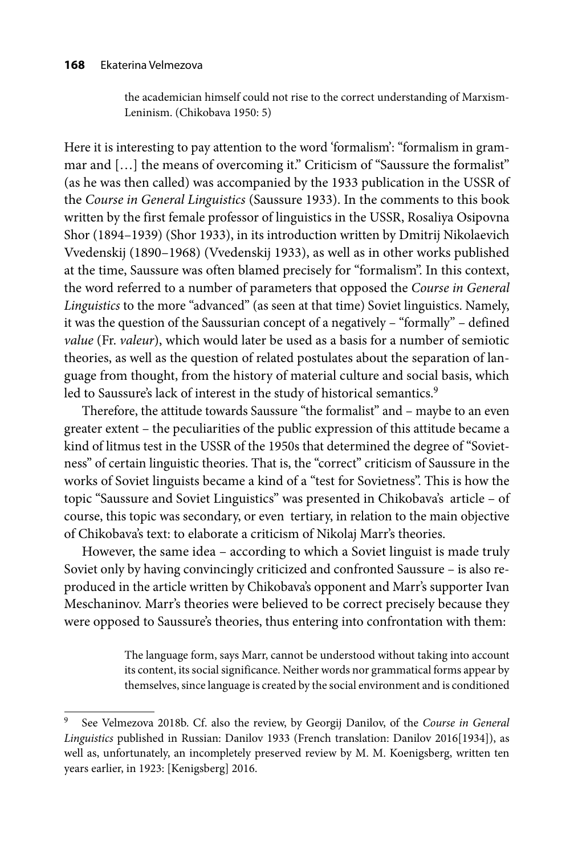#### **168** Ekaterina Velmezova

the academician himself could not rise to the correct understanding of Marxism-Leninism. (Chikobava 1950: 5)

Here it is interesting to pay attention to the word 'formalism': "formalism in grammar and [...] the means of overcoming it." Criticism of "Saussure the formalist" (as he was then called) was accompanied by the 1933 publication in the USSR of the *Course in General Linguistics* (Saussure 1933). In the comments to this book written by the first female professor of linguistics in the USSR, Rosaliya Osipovna Shor (1894–1939) (Shor 1933), in its introduction written by Dmitrij Nikolaevich Vvedenskij (1890–1968) (Vvedenskij 1933), as well as in other works published at the time, Saussure was often blamed precisely for "formalism". In this context, the word referred to a number of parameters that opposed the *Course in General Linguistics* to the more "advanced" (as seen at that time) Soviet linguistics. Namely, it was the question of the Saussurian concept of a negatively – "formally" – defined *value* (Fr. *valeur*), which would later be used as a basis for a number of semiotic theories, as well as the question of related postulates about the separation of language from thought, from the history of material culture and social basis, which led to Saussure's lack of interest in the study of historical semantics.<sup>9</sup>

Therefore, the attitude towards Saussure "the formalist" and – maybe to an even greater extent – the peculiarities of the public expression of this attitude became a kind of litmus test in the USSR of the 1950s that determined the degree of "Sovietness" of certain linguistic theories. That is, the "correct" criticism of Saussure in the works of Soviet linguists became a kind of a "test for Sovietness". This is how the topic "Saussure and Soviet Linguistics" was presented in Chikobava's article – of course, this topic was secondary, or even tertiary, in relation to the main objective of Chikobava's text: to elaborate a criticism of Nikolaj Marr's theories.

However, the same idea – according to which a Soviet linguist is made truly Soviet only by having convincingly criticized and confronted Saussure – is also reproduced in the article written by Chikobava's opponent and Marr's supporter Ivan Meschaninov. Marr's theories were believed to be correct precisely because they were opposed to Saussure's theories, thus entering into confrontation with them:

> The language form, says Marr, cannot be understood without taking into account its content, its social significance. Neither words nor grammatical forms appear by themselves, since language is created by the social environment and is conditioned

<sup>9</sup> See Velmezova 2018b. Cf. also the review, by Georgij Danilov, of the *Course in General Linguistics* published in Russian: Danilov 1933 (French translation: Danilov 2016[1934]), as well as, unfortunately, an incompletely preserved review by M. M. Koenigsberg, written ten years earlier, in 1923: [Kenigsberg] 2016.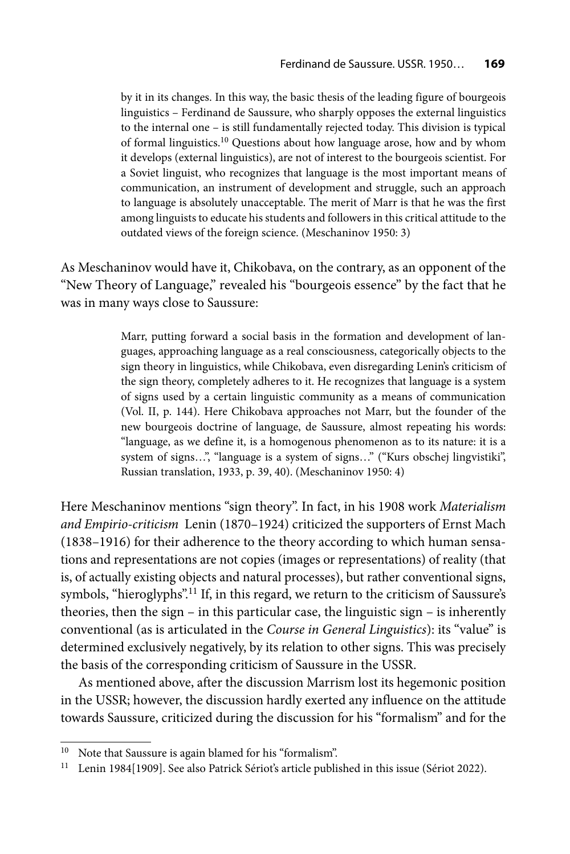by it in its changes. In this way, the basic thesis of the leading figure of bourgeois linguistics – Ferdinand de Saussure, who sharply opposes the external linguistics to the internal one – is still fundamentally rejected today. This division is typical of formal linguistics.10 Questions about how language arose, how and by whom it develops (external linguistics), are not of interest to the bourgeois scientist. For a Soviet linguist, who recognizes that language is the most important means of communication, an instrument of development and struggle, such an approach to language is absolutely unacceptable. The merit of Marr is that he was the first among linguists to educate his students and followers in this critical attitude to the outdated views of the foreign science. (Meschaninov 1950: 3)

As Meschaninov would have it, Chikobava, on the contrary, as an opponent of the "New Theory of Language," revealed his "bourgeois essence" by the fact that he was in many ways close to Saussure:

> Marr, putting forward a social basis in the formation and development of languages, approaching language as a real consciousness, categorically objects to the sign theory in linguistics, while Chikobava, even disregarding Lenin's criticism of the sign theory, completely adheres to it. He recognizes that language is a system of signs used by a certain linguistic community as a means of communication (Vol. II, p. 144). Here Chikobava approaches not Marr, but the founder of the new bourgeois doctrine of language, de Saussure, almost repeating his words: "language, as we define it, is a homogenous phenomenon as to its nature: it is a system of signs…", "language is a system of signs…" ("Kurs obschej lingvistiki", Russian translation, 1933, р. 39, 40). (Meschaninov 1950: 4)

Here Meschaninov mentions "sign theory". In fact, in his 1908 work *Materialism and Empirio-criticism* Lenin (1870–1924) criticized the supporters of Ernst Mach (1838–1916) for their adherence to the theory according to which human sensations and representations are not copies (images or representations) of reality (that is, of actually existing objects and natural processes), but rather conventional signs, symbols, "hieroglyphs".<sup>11</sup> If, in this regard, we return to the criticism of Saussure's theories, then the sign – in this particular case, the linguistic sign – is inherently conventional (as is articulated in the *Course in General Linguistics*): its "value" is determined exclusively negatively, by its relation to other signs. This was precisely the basis of the corresponding criticism of Saussure in the USSR.

As mentioned above, after the discussion Marrism lost its hegemonic position in the USSR; however, the discussion hardly exerted any influence on the attitude towards Saussure, criticized during the discussion for his "formalism" and for the

<sup>&</sup>lt;sup>10</sup> Note that Saussure is again blamed for his "formalism".

<sup>&</sup>lt;sup>11</sup> Lenin 1984[1909]. See also Patrick Sériot's article published in this issue (Sériot 2022).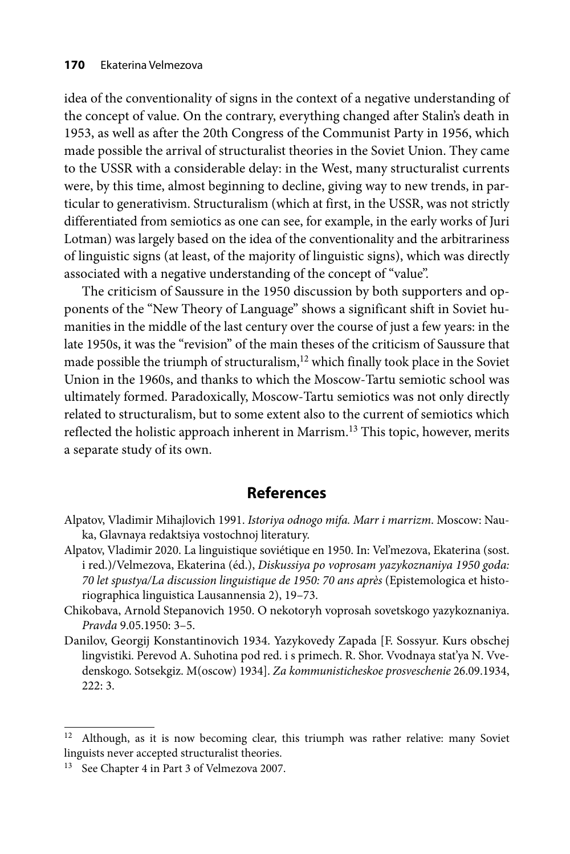idea of the conventionality of signs in the context of a negative understanding of the concept of value. On the contrary, everything changed after Stalin's death in 1953, as well as after the 20th Congress of the Communist Party in 1956, which made possible the arrival of structuralist theories in the Soviet Union. They came to the USSR with a considerable delay: in the West, many structuralist currents were, by this time, almost beginning to decline, giving way to new trends, in particular to generativism. Structuralism (which at first, in the USSR, was not strictly differentiated from semiotics as one can see, for example, in the early works of Juri Lotman) was largely based on the idea of the conventionality and the arbitrariness of linguistic signs (at least, of the majority of linguistic signs), which was directly associated with a negative understanding of the concept of "value".

The criticism of Saussure in the 1950 discussion by both supporters and opponents of the "New Theory of Language" shows a significant shift in Soviet humanities in the middle of the last century over the course of just a few years: in the late 1950s, it was the "revision" of the main theses of the criticism of Saussure that made possible the triumph of structuralism,<sup>12</sup> which finally took place in the Soviet Union in the 1960s, and thanks to which the Moscow-Tartu semiotic school was ultimately formed. Paradoxically, Moscow-Tartu semiotics was not only directly related to structuralism, but to some extent also to the current of semiotics which reflected the holistic approach inherent in Marrism.<sup>13</sup> This topic, however, merits a separate study of its own.

# **References**

- Alpatov, Vladimir Mihajlovich 1991. *Istoriya odnogo mifa. Marr i marrizm*. Moscow: Nauka, Glavnaya redaktsiya vostochnoj literatury.
- Alpatov, Vladimir 2020. La linguistique soviétique en 1950. In: Vel'mezova, Еkaterina (sost. i red.)/Velmezova, Ekaterina (éd.), *Diskussiya po voprosam yazykoznaniya 1950 goda: 70 let spustya/La discussion linguistique de 1950: 70 ans après* (Epistemologica et historiographica linguistica Lausannensia 2), 19–73.
- Chikobava, Arnold Stepanovich 1950. О nekotoryh voprosah sovetskogo yazykoznaniya. *Pravda* 9.05.1950: 3–5.
- Danilov, Georgij Konstantinovich 1934. Yazykovedy Zapada [F. Sossyur. Kurs obschej lingvistiki. Perevod A. Suhotina pod red. i s primech. R. Shor. Vvodnaya stat'ya N. Vvedenskogo. Sotsekgiz. М(oscow) 1934]. *Za kommunisticheskoe prosveschenie* 26.09.1934, 222: 3.

<sup>&</sup>lt;sup>12</sup> Although, as it is now becoming clear, this triumph was rather relative: many Soviet linguists never accepted structuralist theories.

<sup>13</sup> See Chapter 4 in Part 3 of Velmezova 2007.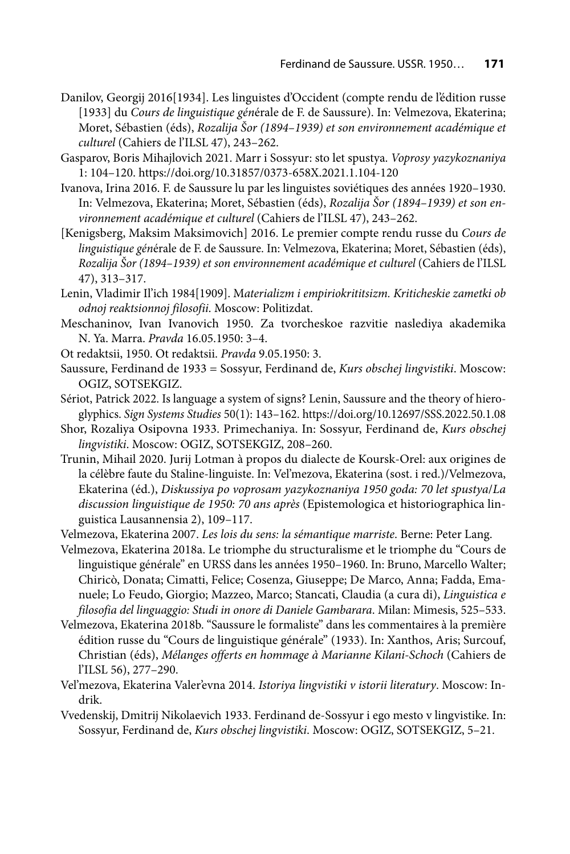- Danilov, Georgij 2016[1934]. Les linguistes d'Occident (compte rendu de l'édition russe [1933] du *Cours de linguistique gén*érale de F. de Saussure). In: Velmezova, Ekaterina; Moret, Sébastien (éds), *Rozalija Šor (1894–1939) et son environnement académique et culturel* (Cahiers de l'ILSL 47), 243–262.
- Gasparov, Boris Mihajlovich 2021. Marr i Sossyur: sto let spustya. *Voprosy yazykoznaniya*  1: 104–120. https://doi.org/10.31857/0373-658X.2021.1.104-120
- Ivanova, Irina 2016. F. de Saussure lu par les linguistes soviétiques des années 1920–1930. In: Velmezova, Ekaterina; Moret, Sébastien (éds), *Rozalija Šor (1894–1939) et son environnement académique et culturel* (Cahiers de l'ILSL 47), 243–262.
- [Kenigsberg, Maksim Maksimovich] 2016. Le premier compte rendu russe du *Cours de linguistique gén*érale de F. de Saussure. In: Velmezova, Ekaterina; Moret, Sébastien (éds), *Rozalija Šor (1894–1939) et son environnement académique et culturel* (Cahiers de l'ILSL 47), 313–317.
- Lenin, Vladimir Il'ich 1984[1909]. М*aterializm i empiriokrititsizm. Kriticheskie zametki ob odnoj reaktsionnoj filosofii*. Moscow: Politizdat.
- Meschaninov, Ivan Ivanovich 1950. Za tvorcheskoe razvitie naslediya akademika N. Ya. Marra. *Pravda* 16.05.1950: 3–4.
- Ot redaktsii, 1950. Ot redaktsii. *Pravda* 9.05.1950: 3.
- Saussure, Ferdinand de 1933 = Sossyur, Ferdinand de, *Kurs obschej lingvistiki*. Moscow: ОGIZ, SOTSEKGIZ.
- Sériot, Patrick 2022. Is language a system of signs? Lenin, Saussure and the theory of hieroglyphics. *Sign Systems Studies* 50(1): 143–162. https://doi.org/10.12697/SSS.2022.50.1.08
- Shor, Rozaliya Оsipovna 1933. Primechaniya. In: Sossyur, Ferdinand de, *Kurs obschej lingvistiki*. Moscow: ОGIZ, SOTSEKGIZ, 208–260.
- Trunin, Mihail 2020. Jurij Lotman à propos du dialecte de Koursk-Orel: aux origines de la célèbre faute du Staline-linguiste. In: Vel'mezova, Еkaterina (sost. i red.)/Velmezova, Ekaterina (éd.), *Diskussiya po voprosam yazykoznaniya 1950 goda: 70 let spustya*/*La discussion linguistique de 1950: 70 ans après* (Epistemologica et historiographica linguistica Lausannensia 2), 109–117.
- Velmezova, Ekaterina 2007. *Les lois du sens: la sémantique marriste*. Berne: Peter Lang.
- Velmezova, Ekaterina 2018a. Le triomphe du structuralisme et le triomphe du "Cours de linguistique générale" en URSS dans les années 1950-1960. In: Bruno, Marcello Walter; Chiricò, Donata; Cimatti, Felice; Cosenza, Giuseppe; De Marco, Anna; Fadda, Emanuele; Lo Feudo, Giorgio; Mazzeo, Marco; Stancati, Claudia (a cura di), *Linguistica e filosofia del linguaggio: Studi in onore di Daniele Gambarara*. Milan: Mimesis, 525–533.
- Velmezova, Ekaterina 2018b. "Saussure le formaliste" dans les commentaires à la première édition russe du "Cours de linguistique générale" (1933). In: Xanthos, Aris; Surcouf, Christian (éds), *Mélanges offerts en hommage à Marianne Kilani-Schoch* (Cahiers de l'ILSL 56), 277–290.
- Vel'mezova, Ekaterina Valer'evna 2014. *Istoriya lingvistiki v istorii literatury*. Moscow: Indrik.
- Vvedenskij, Dmitrij Nikolaevich 1933. Ferdinand de-Sossyur i ego mesto v lingvistike. In: Sossyur, Ferdinand de, *Kurs obschej lingvistiki*. Moscow: ОGIZ, SOTSEKGIZ, 5–21.